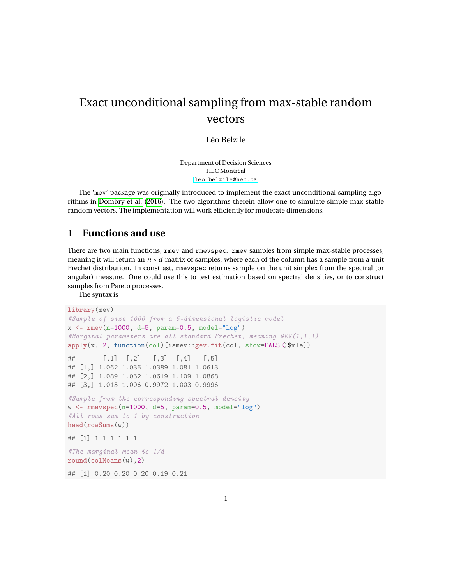## Exact unconditional sampling from max-stable random vectors

Léo Belzile

Department of Decision Sciences HEC Montréal <leo.belzile@hec.ca>

The 'mev' package was originally introduced to implement the exact unconditional sampling algorithms in [Dombry et al.](#page-6-0) [\(2016\)](#page-6-0). The two algorithms therein allow one to simulate simple max-stable random vectors. The implementation will work efficiently for moderate dimensions.

## **1 Functions and use**

There are two main functions, rmev and rmevspec. rmev samples from simple max-stable processes, meaning it will return an  $n \times d$  matrix of samples, where each of the column has a sample from a unit Frechet distribution. In constrast, rmevspec returns sample on the unit simplex from the spectral (or angular) measure. One could use this to test estimation based on spectral densities, or to construct samples from Pareto processes.

The syntax is

```
library(mev)
#Sample of size 1000 from a 5-dimensional logistic model
x \le - rmev(n=1000, d=5, param=0.5, model="log")
#Marginal parameters are all standard Frechet, meaning GEV(1,1,1)
apply(x, 2, function(col){ismev::gev.fit(col, show=FALSE)$mle})
\# [,1] [,2] [,3] [,4] [,5]
## [1,] 1.062 1.036 1.0389 1.081 1.0613
## [2,] 1.089 1.052 1.0619 1.109 1.0868
## [3,] 1.015 1.006 0.9972 1.003 0.9996
#Sample from the corresponding spectral density
w \leq rmevspec(n=1000, d=5, param=0.5, model="log")
#All rows sum to 1 by construction
head(rowSums(w))
## [1] 1 1 1 1 1 1
#The marginal mean is 1/d
round(colMeans(w),2)
## [1] 0.20 0.20 0.20 0.19 0.21
```
1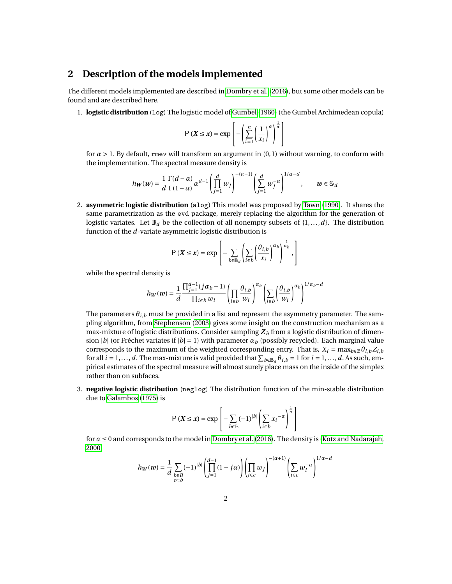## **2 Description of the models implemented**

The different models implemented are described in [Dombry et al.](#page-6-0) [\(2016\)](#page-6-0), but some other models can be found and are described here.

1. **logistic distribution** (log) The logistic model of [Gumbel](#page-6-1) [\(1960\)](#page-6-1) (the Gumbel Archimedean copula)

$$
P(X \le x) = \exp\left[-\left(\sum_{i=1}^{n} \left(\frac{1}{x_i}\right)^{\alpha}\right)^{\frac{1}{\alpha}}\right]
$$

for *α* > 1. By default, rmev will transform an argument in (0,1) without warning, to conform with the implementation. The spectral measure density is

$$
h_W(w)=\frac{1}{d}\frac{\Gamma(d-\alpha)}{\Gamma(1-\alpha)}\alpha^{d-1}\left(\prod_{j=1}^dw_j\right)^{-(\alpha+1)}\left(\sum_{j=1}^dw_j^{-\alpha}\right)^{1/\alpha-d},\qquad w\in\mathbb{S}_d
$$

2. **asymmetric logistic distribution** (alog) This model was proposed by [Tawn](#page-6-2) [\(1990\)](#page-6-2). It shares the same parametrization as the evd package, merely replacing the algorithm for the generation of logistic variates. Let  $\mathbb{B}_d$  be the collection of all nonempty subsets of  $\{1,\ldots,d\}$ . The distribution function of the *d*-variate asymmetric logistic distribution is

$$
\mathsf{P}\left(\boldsymbol{X} \leq \boldsymbol{x}\right) = \exp\left[-\sum_{b \in \mathbb{B}_d} \left(\sum_{i \in b} \left(\frac{\theta_{i,b}}{x_i}\right)^{\alpha_b}\right)^{\frac{1}{\alpha_b}},\right]
$$

while the spectral density is

$$
h_W(\boldsymbol{w}) = \frac{1}{d} \frac{\prod_{j=1}^{d-1} (j \alpha_b - 1)}{\prod_{i \in b} w_i} \left( \prod_{i \in b} \frac{\theta_{i,b}}{w_i} \right)^{\alpha_b} \left( \sum_{i \in b} \left( \frac{\theta_{i,b}}{w_i} \right)^{\alpha_b} \right)^{1/\alpha_b - d}
$$

The parameters *θi*,*<sup>b</sup>* must be provided in a list and represent the asymmetry parameter. The sampling algorithm, from [Stephenson](#page-6-3) [\(2003\)](#page-6-3) gives some insight on the construction mechanism as a max-mixture of logistic distributions. Consider sampling  $Z_b$  from a logistic distribution of dimension |*b*| (or Fréchet variates if  $|b| = 1$ ) with parameter  $\alpha_b$  (possibly recycled). Each marginal value corresponds to the maximum of the weighted corresponding entry. That is,  $X_i = \max_{b \in \mathbb{B}} \theta_{i,b} Z_{i,b}$ for all  $i = 1, ..., d$ . The max-mixture is valid provided that  $\sum_{b \in B_d} \theta_{i,b} = 1$  for  $i = 1, ..., d$ . As such, empirical estimates of the spectral measure will almost surely place mass on the inside of the simplex rather than on subfaces.

3. **negative logistic distribution** (neglog) The distribution function of the min-stable distribution due to [Galambos](#page-6-4) [\(1975\)](#page-6-4) is

$$
P(X \le x) = \exp\left[-\sum_{b \in \mathbb{B}} (-1)^{|b|} \left(\sum_{i \in b} x_i^{-\alpha}\right)^{\frac{1}{\alpha}}\right]
$$

for *α* ≤ 0 and corresponds to the model in [Dombry et al.](#page-6-0) [\(2016\)](#page-6-0). The density is [\(Kotz and Nadarajah,](#page-6-5) [2000\)](#page-6-5)

$$
h_W(\boldsymbol{w}) = \frac{1}{d}\sum_{\substack{b\in B\\ c
$$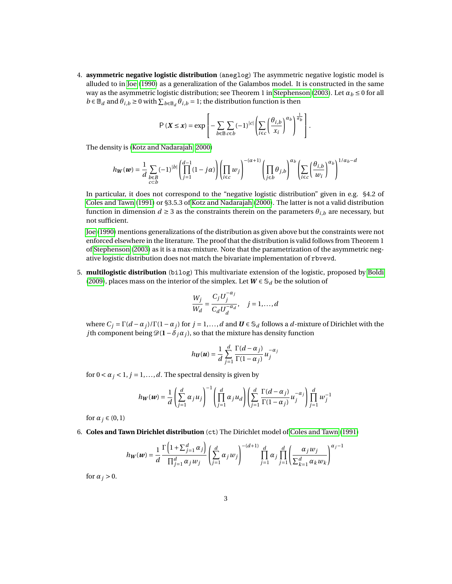4. **asymmetric negative logistic distribution** (aneglog) The asymmetric negative logistic model is alluded to in [Joe](#page-6-6) [\(1990\)](#page-6-6) as a generalization of the Galambos model. It is constructed in the same way as the asymmetric logistic distribution; see Theorem 1 in [Stephenson](#page-6-3) [\(2003\)](#page-6-3). Let *α<sup>b</sup>* ≤ 0 for all  $b \in \mathbb{B}_d$  and  $\theta_{i,b} \ge 0$  with  $\sum_{b \in \mathbb{B}_d} \theta_{i,b} = 1$ ; the distribution function is then

$$
\mathsf{P}\left(\boldsymbol{X} \leq \boldsymbol{x}\right) = \exp\left[-\sum_{b \in \mathbb{B}} \sum_{c \in b} (-1)^{|c|} \left(\sum_{i \in c} \left(\frac{\theta_{i,b}}{x_i}\right)^{\alpha_b}\right)^{\frac{1}{\alpha_b}}\right].
$$

The density is [\(Kotz and Nadarajah, 2000\)](#page-6-5)

$$
h_W(\boldsymbol{w}) = \frac{1}{d} \sum_{\substack{b \in B \\ c \subset b}} (-1)^{|b|} \left( \prod_{j=1}^{d-1} (1-j\alpha) \right) \left( \prod_{i \in c} w_j \right)^{-(\alpha+1)} \left( \prod_{j \in b} \theta_{j,b} \right)^{\alpha_b} \left( \sum_{i \in c} \left( \frac{\theta_{i,b}}{w_i} \right)^{\alpha_b} \right)^{1/\alpha_b - d}
$$

In particular, it does not correspond to the "negative logistic distribution" given in e.g. §4.2 of [Coles and Tawn](#page-6-7) [\(1991\)](#page-6-7) or §3.5.3 of [Kotz and Nadarajah](#page-6-5) [\(2000\)](#page-6-5). The latter is not a valid distribution function in dimension  $d \geq 3$  as the constraints therein on the parameters  $\theta_{i,b}$  are necessary, but not sufficient.

[Joe](#page-6-6) [\(1990\)](#page-6-6) mentions generalizations of the distribution as given above but the constraints were not enforced elsewhere in the literature. The proof that the distribution is valid follows from Theorem 1 of [Stephenson](#page-6-3) [\(2003\)](#page-6-3) as it is a max-mixture. Note that the parametrization of the asymmetric negative logistic distribution does not match the bivariate implementation of rbvevd.

5. **multilogistic distribution** (bilog) This multivariate extension of the logistic, proposed by [Boldi](#page-6-8) [\(2009\)](#page-6-8), places mass on the interior of the simplex. Let  $W \in \mathcal{S}_d$  be the solution of

$$
\frac{W_j}{W_d} = \frac{C_j U_j^{-\alpha_j}}{C_d U_d^{-\alpha_d}}, \quad j = 1, \dots, d
$$

where  $C_i = \Gamma(d - \alpha_i)/\Gamma(1 - \alpha_i)$  for  $j = 1, ..., d$  and  $\boldsymbol{U} \in \mathcal{S}_d$  follows a *d*-mixture of Dirichlet with the *j*th component being  $\mathcal{D}(1 - \delta_i \alpha_j)$ , so that the mixture has density function

$$
h_{\boldsymbol{U}}(\boldsymbol{u}) = \frac{1}{d} \sum_{j=1}^{d} \frac{\Gamma(d - \alpha_j)}{\Gamma(1 - \alpha_j)} u_j^{-\alpha_j}
$$

for  $0 < \alpha_j < 1$ ,  $j = 1, \ldots, d$ . The spectral density is given by

$$
h_W(\boldsymbol{w}) = \frac{1}{d} \left( \sum_{j=1}^d \alpha_j u_j \right)^{-1} \left( \prod_{j=1}^d \alpha_j u_d \right) \left( \sum_{j=1}^d \frac{\Gamma(d-\alpha_j)}{\Gamma(1-\alpha_j)} u_j^{-\alpha_j} \right) \prod_{j=1}^d w_j^{-1}
$$

for  $\alpha_j \in (0,1)$ 

6. **Coles and Tawn Dirichlet distribution** (ct) The Dirichlet model of [Coles and Tawn](#page-6-7) [\(1991\)](#page-6-7)

$$
h_W(w) = \frac{1}{d} \frac{\Gamma\left(1 + \sum_{j=1}^d \alpha_j\right)}{\prod_{j=1}^d \alpha_j w_j} \left(\sum_{j=1}^d \alpha_j w_j\right)^{-(d+1)} \prod_{j=1}^d \alpha_j \prod_{j=1}^d \left(\frac{\alpha_j w_j}{\sum_{k=1}^d \alpha_k w_k}\right)^{\alpha_j - 1}
$$

for  $\alpha_j > 0$ .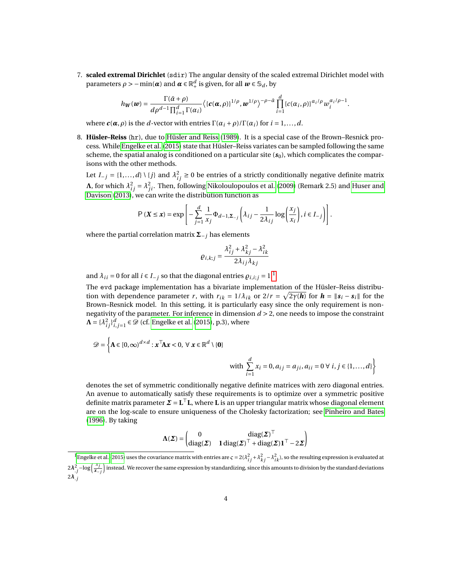7. **scaled extremal Dirichlet** (sdir) The angular density of the scaled extremal Dirichlet model with parameters  $\rho > -\min(\pmb{\alpha})$  and  $\pmb{\alpha} \in \mathbb{R}_+^d$  is given, for all  $\pmb{\omega} \in \mathbb{S}_d$ , by

$$
h_{\boldsymbol{W}}(\boldsymbol{w}) = \frac{\Gamma(\bar{\alpha}+\rho)}{d\rho^{d-1}\prod_{i=1}^d\Gamma(\alpha_i)}\big\langle\{\boldsymbol{c}(\boldsymbol{\alpha},\rho)\}^{1/\rho},\boldsymbol{w}^{1/\rho}\big\}^{-\rho-\bar{\alpha}}\prod_{i=1}^d\{\boldsymbol{c}(\alpha_i,\rho)\}^{\alpha_i/\rho}\boldsymbol{w}_i^{\alpha_i/\rho-1}.
$$

where  $c(\alpha, \rho)$  is the *d*-vector with entries  $\Gamma(\alpha_i + \rho)/\Gamma(\alpha_i)$  for  $i = 1, \ldots, d$ .

8. **Hüsler–Reiss** (hr), due to [Hüsler and Reiss](#page-6-9) [\(1989\)](#page-6-9). It is a special case of the Brown–Resnick process. While [Engelke et al.](#page-6-10) [\(2015\)](#page-6-10) state that Hüsler–Reiss variates can be sampled following the same scheme, the spatial analog is conditioned on a particular site  $(s<sub>0</sub>)$ , which complicates the comparisons with the other methods.

Let *I*<sub>−*j*</sub> = {1,...,*d*} \{*j*} and  $\lambda_{ij}^2 \ge 0$  be entries of a strictly conditionally negative definite matrix **Λ**, for which  $\lambda_{ij}^2 = \lambda_{ji}^2$ . Then, following [Nikoloulopoulos et al.](#page-6-11) [\(2009\)](#page-6-11) (Remark 2.5) and [Huser and](#page-6-12) [Davison](#page-6-12) [\(2013\)](#page-6-12), we can write the distribution function as

$$
P(X \le x) = \exp\left[-\sum_{j=1}^{d} \frac{1}{x_j} \Phi_{d-1, \Sigma_{-j}} \left(\lambda_{ij} - \frac{1}{2\lambda_{ij}} \log\left(\frac{x_j}{x_i}\right), i \in I_{-j}\right)\right].
$$

where the partial correlation matrix **Σ**−*<sup>j</sup>* has elements

$$
\varrho_{i,k;j} = \frac{\lambda_{ij}^2 + \lambda_{kj}^2 - \lambda_{ik}^2}{2\lambda_{ij}\lambda_{kj}}
$$

and  $\lambda_{ii} = 0$  for all  $i \in I_{-i}$  so that the diagonal entries  $\rho_{i,i;j} = 1$  $\rho_{i,i;j} = 1$ .<sup>1</sup>

The evd package implementation has a bivariate implementation of the Hüsler–Reiss distribution with dependence parameter *r*, with  $r_{ik} = 1/\lambda_{ik}$  or  $2/r = \sqrt{2\gamma(\bm{h})}$  for  $\bm{h} = \|\bm{s}_i - \bm{s}_i\|$  for the Brown–Resnick model. In this setting, it is particularly easy since the only requirement is nonnegativity of the parameter. For inference in dimension *d* > 2, one needs to impose the constraint  $\mathbf{\Lambda} = {\lambda_i^2}_j \}_{i,j=1}^d \in \mathcal{D}$  (cf. [Engelke et al.](#page-6-10) [\(2015\)](#page-6-10), p.3), where

$$
\mathcal{D} = \left\{ \mathbf{A} \in [0, \infty)^{d \times d} : \mathbf{x}^\top \mathbf{A} \mathbf{x} < 0, \ \forall \ \mathbf{x} \in \mathbb{R}^d \setminus \{0\} \right\}
$$
\nwith\n
$$
\sum_{i=1}^d x_i = 0, a_{ij} = a_{ji}, a_{ii} = 0 \ \forall \ i, j \in \{1, \dots, d\} \right\}
$$

denotes the set of symmetric conditionally negative definite matrices with zero diagonal entries. An avenue to automatically satisfy these requirements is to optimize over a symmetric positive definite matrix parameter *Σ* = **L** <sup>⊤</sup>**L**, where **L** is an upper triangular matrix whose diagonal element are on the log-scale to ensure uniqueness of the Cholesky factorization; see [Pinheiro and Bates](#page-6-13) [\(1996\)](#page-6-13). By taking

$$
\Lambda(\Sigma) = \begin{pmatrix} 0 & \operatorname{diag}(\Sigma)^\top \\ \operatorname{diag}(\Sigma) & 1 \operatorname{diag}(\Sigma)^\top + \operatorname{diag}(\Sigma) \mathbf{1}^\top - 2\Sigma \end{pmatrix}
$$

<span id="page-3-0"></span><sup>&</sup>lt;sup>1</sup> [Engelke et al.](#page-6-10) [\(2015\)](#page-6-10) uses the covariance matrix with entries are  $\zeta = 2(\lambda_{ij}^2 + \lambda_{kj}^2 - \lambda_{ik}^2)$ , so the resulting expression is evaluated at  $2\lambda_j^2 - \log\left(\frac{x_j}{x_j}\right)$  $\frac{x_j}{x-j}$ ) instead. We recover the same expression by standardizing, since this amounts to division by the standard deviations 2*λ*.*j*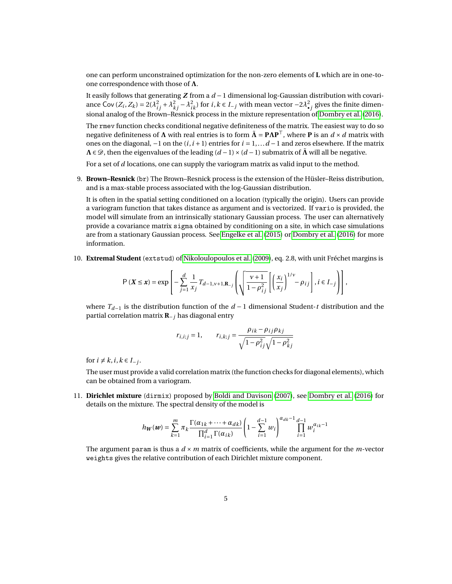one can perform unconstrained optimization for the non-zero elements of **L** which are in one-toone correspondence with those of **Λ**.

It easily follows that generating *Z* from a *d* −1 dimensional log-Gaussian distribution with covariance Cov  $(Z_i, Z_k) = 2(\lambda_{ij}^2 + \lambda_{kj}^2 - \lambda_{ik}^2)$  for  $i, k \in I_{-j}$  with mean vector  $-2\lambda_{\bullet j}^2$  gives the finite dimen-sional analog of the Brown–Resnick process in the mixture representation of [Dombry et al.](#page-6-0) [\(2016\)](#page-6-0).

The rmev function checks conditional negative definiteness of the matrix. The easiest way to do so negative definiteness of **Λ** with real entries is to form  $\tilde{\Lambda} = \mathbf{P}\Lambda\mathbf{P}^{\top}$ , where **P** is an  $d \times d$  matrix with ones on the diagonal, −1 on the (*i*,*i* +1) entries for *i* = 1,...*d* −1 and zeros elsewhere. If the matrix **Λ** ∈  $\mathcal{D}$ , then the eigenvalues of the leading  $(d-1) \times (d-1)$  submatrix of **Λ** will all be negative.

For a set of *d* locations, one can supply the variogram matrix as valid input to the method.

9. **Brown–Resnick** (br) The Brown–Resnick process is the extension of the Hüsler–Reiss distribution, and is a max-stable process associated with the log-Gaussian distribution.

It is often in the spatial setting conditioned on a location (typically the origin). Users can provide a variogram function that takes distance as argument and is vectorized. If vario is provided, the model will simulate from an intrinsically stationary Gaussian process. The user can alternatively provide a covariance matrix sigma obtained by conditioning on a site, in which case simulations are from a stationary Gaussian process. See [Engelke et al.](#page-6-10) [\(2015\)](#page-6-10) or [Dombry et al.](#page-6-0) [\(2016\)](#page-6-0) for more information.

10. **Extremal Student** (extstud) of [Nikoloulopoulos et al.](#page-6-11) [\(2009\)](#page-6-11), eq. 2.8, with unit Fréchet margins is

$$
P(X \leq x) = \exp\left[-\sum_{j=1}^d \frac{1}{x_j} T_{d-1,\nu+1,\mathbf{R}_{-j}} \left(\sqrt{\frac{\nu+1}{1-\rho_{ij}^2}} \left[\left(\frac{x_i}{x_j}\right)^{1/\nu} - \rho_{ij}\right], i \in I_{-j}\right)\right],
$$

where *Td*−<sup>1</sup> is the distribution function of the *d* − 1 dimensional Student-*t* distribution and the partial correlation matrix **R**−*<sup>j</sup>* has diagonal entry

$$
r_{i,i;j} = 1, \qquad r_{i,k;j} = \frac{\rho_{ik} - \rho_{ij}\rho_{kj}}{\sqrt{1 - \rho_{ij}^2}\sqrt{1 - \rho_{kj}^2}}
$$

for  $i \neq k$ ,  $i, k \in I_{-j}$ .

The user must provide a valid correlation matrix (the function checks for diagonal elements), which can be obtained from a variogram.

11. **Dirichlet mixture** (dirmix) proposed by [Boldi and Davison](#page-6-14) [\(2007\)](#page-6-14), see [Dombry et al.](#page-6-0) [\(2016\)](#page-6-0) for details on the mixture. The spectral density of the model is

$$
h_W(\boldsymbol{w}) = \sum_{k=1}^m \pi_k \frac{\Gamma(\alpha_{1k} + \cdots + \alpha_{dk})}{\prod_{i=1}^d \Gamma(\alpha_{ik})} \left(1 - \sum_{i=1}^{d-1} w_i \right)^{\alpha_{dk}-1} \prod_{i=1}^{d-1} w_i^{\alpha_{ik}-1}
$$

The argument param is thus a *d* × *m* matrix of coefficients, while the argument for the *m*-vector weights gives the relative contribution of each Dirichlet mixture component.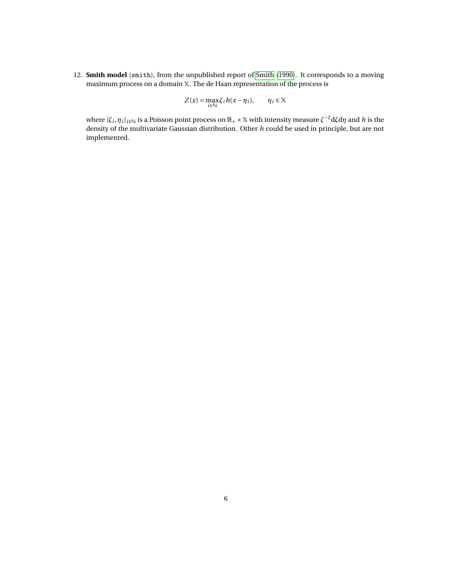12. **Smith model** (smith), from the unpublished report of [Smith](#page-6-15) [\(1990\)](#page-6-15). It corresponds to a moving maximum process on a domain X. The de Haan representation of the process is

$$
Z(x) = \max_{i \in \mathbb{N}} \zeta_i h(x - \eta_i), \qquad \eta_i \in \mathbb{X}
$$

where  $\{\zeta_i,\eta_i\}_{i\in\mathbb{N}}$  is a Poisson point process on  $\mathbb{R}_+\times\mathbb{X}$  with intensity measure  $\zeta^{-2}$ d $\zeta$ d $\eta$  and  $h$  is the density of the multivariate Gaussian distribution. Other *h* could be used in principle, but are not implemented.